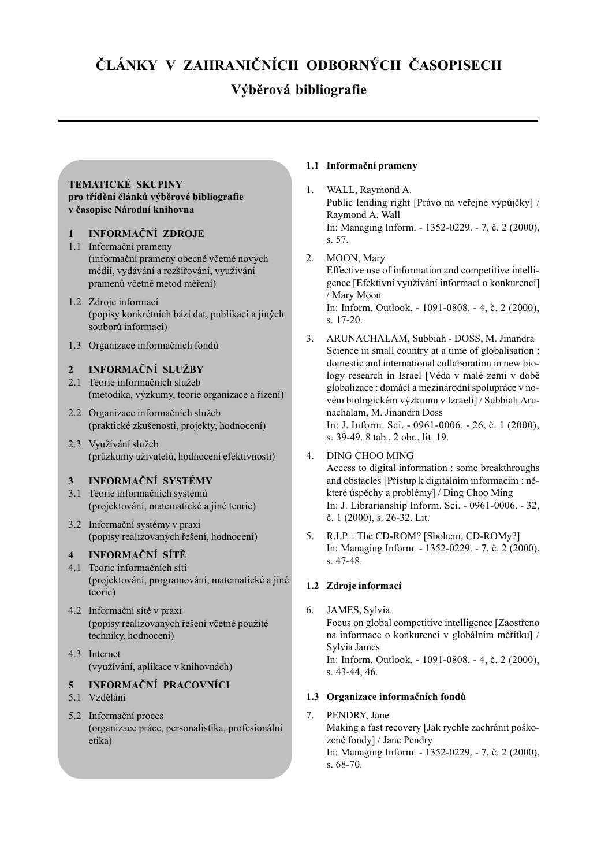# ÈLÁNKY V ZAHRANIÈNÍCH ODBORNÝCH ÈASOPISECH

# Výběrová bibliografie

### TEMATICKÉ SKUPINY pro třídění článků výběrové bibliografie v časopise Národní knihovna

## 1 INFORMAÈNÍ ZDROJE

- 1.1 Informaèní prameny (informační prameny obecně včetně nových médií, vydávání a rozšiřování, využívání pramenů včetně metod měření)
- 1.2 Zdroje informací (popisy konkrétních bází dat, publikací a jiných souborù informací)
- 1.3 Organizace informaèních fondù

## INFORMAČNÍ SLUŽBY

- 2.1 Teorie informačních služeb (metodika, výzkumy, teorie organizace a řízení)
- 2.2 Organizace informačních služeb (praktické zkušenosti, projekty, hodnocení)
- 2.3 Využívání služeb (průzkumy uživatelů, hodnocení efektivnosti)

## 3 INFORMAÈNÍ SYSTÉMY

- 3.1 Teorie informaèních systémù (projektování, matematické a jiné teorie)
- 3.2 Informaèní systémy v praxi (popisy realizovaných řešení, hodnocení)

## INFORMAČNÍ SÍTĚ

- 4.1 Teorie informaèních sítí (projektování, programování, matematické a jiné teorie)
- 4.2 Informační sítě v praxi (popisy realizovaných řešení včetně použité techniky, hodnocení)
- 4.3 Internet (využívání, aplikace v knihovnách)

# 5 INFORMAÈNÍ PRACOVNÍCI

- 5.1 Vzdělání
- 5.2 Informaèní proces (organizace práce, personalistika, profesionální etika)

## 1.1 Informaèní prameny

- 1. WALL, Raymond A. Public lending right [Právo na veřejné výpůjčky] / Raymond A. Wall In: Managing Inform. - 1352-0229. - 7, è. 2 (2000), s. 57.
- 2. MOON, Mary Effective use of information and competitive intelligence [Efektivní využívání informací o konkurenci] / Mary Moon In: Inform. Outlook. - 1091-0808. - 4, è. 2 (2000), s. 17-20.
- 3. ARUNACHALAM, Subbiah DOSS, M. Jinandra Science in small country at a time of globalisation : domestic and international collaboration in new biology research in Israel [Věda v malé zemi v době globalizace : domácí a mezinárodní spolupráce v novém biologickém výzkumu v Izraeli] / Subbiah Arunachalam, M. Jinandra Doss In: J. Inform. Sci. - 0961-0006. - 26, è. 1 (2000), s. 39-49. 8 tab., 2 obr., lit. 19.

## 4. DING CHOO MING

Access to digital information : some breakthroughs and obstacles [Přístup k digitálním informacím : některé úspěchy a problémy] / Ding Choo Ming In: J. Librarianship Inform. Sci. - 0961-0006. - 32, è. 1 (2000), s. 26-32. Lit.

5. R.I.P. : The CD-ROM? [Sbohem, CD-ROMy?] In: Managing Inform. - 1352-0229. - 7, è. 2 (2000), s. 47-48.

## 1.2 Zdroje informací

6. JAMES, Sylvia Focus on global competitive intelligence [Zaostřeno na informace o konkurenci v globálním měřítku] / Sylvia James In: Inform. Outlook. - 1091-0808. - 4, è. 2 (2000), s. 43-44, 46.

## 1.3 Organizace informaèních fondù

7. PENDRY, Jane Making a fast recovery [Jak rychle zachránit poškozené fondy] / Jane Pendry In: Managing Inform. - 1352-0229. - 7, è. 2 (2000), s. 68-70.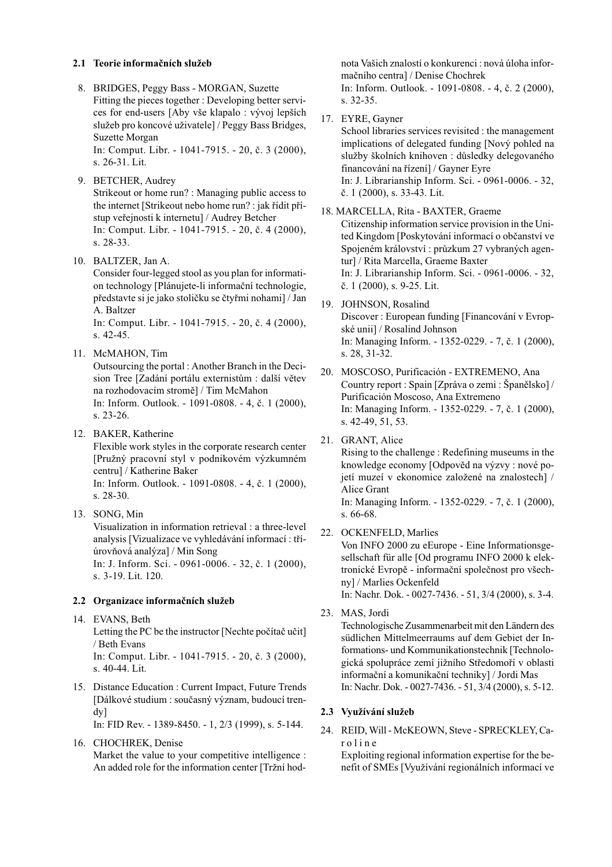#### 2.1 Teorie informačních služeb

- 8. BRIDGES, Peggy Bass MORGAN, Suzette Fitting the pieces together : Developing better services for end-users [Aby vše klapalo : vývoj lepších služeb pro koncové uživatele] / Peggy Bass Bridges, Suzette Morgan In: Comput. Libr. - 1041-7915. - 20, è. 3 (2000), s. 26-31. Lit.
- 9. BETCHER, Audrey Strikeout or home run? : Managing public access to the internet [Strikeout nebo home run? : jak řídit přístup veřejnosti k internetu] / Audrey Betcher In: Comput. Libr. - 1041-7915. - 20, è. 4 (2000), s. 28-33.
- 10. BALTZER, Jan A.

Consider four-legged stool as you plan for information technology [Plánujete-li informaèní technologie, představte si je jako stoličku se čtyřmi nohami] / Jan A. Baltzer

In: Comput. Libr. - 1041-7915. - 20, è. 4 (2000), s. 42-45.

11. McMAHON, Tim

Outsourcing the portal : Another Branch in the Decision Tree [Zadání portálu externistům : další větev na rozhodovacím stromě] / Tim McMahon In: Inform. Outlook. - 1091-0808. - 4, è. 1 (2000), s. 23-26.

12. BAKER, Katherine

Flexible work styles in the corporate research center [Pružný pracovní styl v podnikovém výzkumném centru] / Katherine Baker

In: Inform. Outlook. - 1091-0808. - 4, è. 1 (2000), s. 28-30.

13. SONG, Min

Visualization in information retrieval : a three-level analysis [Vizualizace ve vyhledávání informací : tříúrovňová analýza] / Min Song

In: J. Inform. Sci. - 0961-0006. - 32, è. 1 (2000), s. 3-19. Lit. 120.

### 2.2 Organizace informačních služeb

14. EVANS, Beth

Letting the PC be the instructor [Nechte počítač učit] / Beth Evans

In: Comput. Libr. - 1041-7915. - 20, è. 3 (2000), s. 40-44. Lit.

15. Distance Education : Current Impact, Future Trends [Dálkové studium : souèasný význam, budoucí trendy]

In: FID Rev. - 1389-8450. - 1, 2/3 (1999), s. 5-144.

16. CHOCHREK, Denise Market the value to your competitive intelligence : An added role for the information center [Tržní hodnota Vaich znalostí o konkurenci : nová úloha informaèního centra] / Denise Chochrek In: Inform. Outlook. - 1091-0808. - 4, è. 2 (2000), s. 32-35.

17. EYRE, Gayner

School libraries services revisited : the management implications of delegated funding [Nový pohled na služby školních knihoven : důsledky delegovaného financování na řízení] / Gayner Eyre In: J. Librarianship Inform. Sci. - 0961-0006. - 32, è. 1 (2000), s. 33-43. Lit.

- 18. MARCELLA, Rita BAXTER, Graeme Citizenship information service provision in the United Kingdom [Poskytování informací o obèanství ve Spojeném království : prùzkum 27 vybraných agentur] / Rita Marcella, Graeme Baxter In: J. Librarianship Inform. Sci. - 0961-0006. - 32, è. 1 (2000), s. 9-25. Lit.
- 19. JOHNSON, Rosalind Discover : European funding [Financování v Evropské unii] / Rosalind Johnson In: Managing Inform. - 1352-0229. - 7, è. 1 (2000), s. 28, 31-32.
- 20. MOSCOSO, Purificación EXTREMENO, Ana Country report : Spain [Zpráva o zemi : Španělsko] / Purificación Moscoso, Ana Extremeno In: Managing Inform. - 1352-0229. - 7, è. 1 (2000), s. 42-49, 51, 53.
- 21. GRANT, Alice

Rising to the challenge : Redefining museums in the knowledge economy [Odpověd na výzvy : nové pojetí muzeí v ekonomice založené na znalostech] / Alice Grant In: Managing Inform. - 1352-0229. - 7, è. 1 (2000), s. 66-68.

22. OCKENFELD, Marlies

Von INFO 2000 zu eEurope - Eine Informationsgesellschaft für alle [Od programu INFO 2000 k elektronické Evropě - informační společnost pro všechny] / Marlies Ockenfeld

In: Nachr. Dok. - 0027-7436. - 51, 3/4 (2000), s. 3-4.

23. MAS, Jordi

Technologische Zusammenarbeit mit den Ländern des südlichen Mittelmeerraums auf dem Gebiet der Informations- und Kommunikationstechnik [Technologická spolupráce zemí jižního Středomoří v oblasti informaèní a komunikaèní techniky] / Jordi Mas In: Nachr. Dok. - 0027-7436. - 51, 3/4 (2000), s. 5-12.

#### 2.3 Využívání služeb

24. REID, Will - McKEOWN, Steve - SPRECKLEY, Caroline

Exploiting regional information expertise for the benefit of SMEs [Využívání regionálních informací ve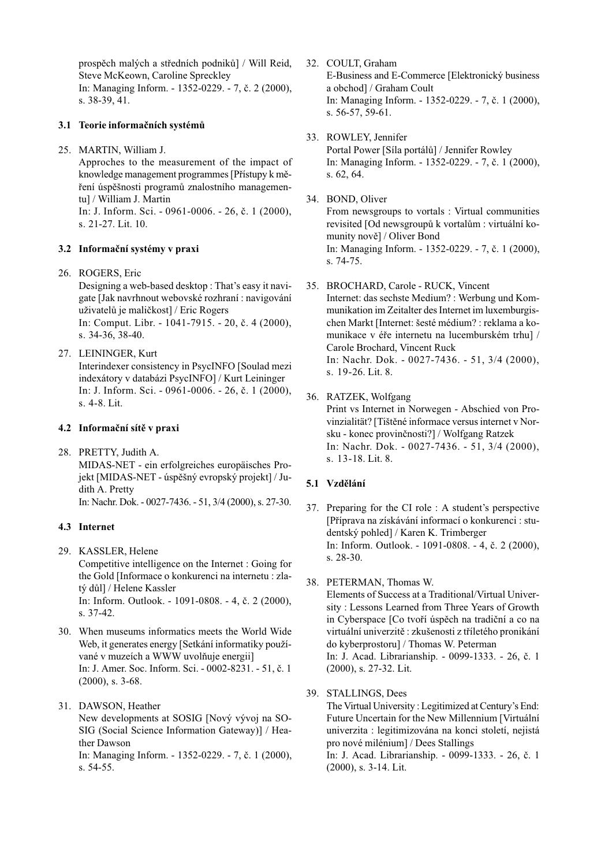prospěch malých a středních podniků] / Will Reid, Steve McKeown, Caroline Spreckley In: Managing Inform. - 1352-0229. - 7, è. 2 (2000), s. 38-39, 41.

#### 3.1 Teorie informaèních systémù

25. MARTIN, William J.

Approches to the measurement of the impact of knowledge management programmes [Přístupy k měření úspěšnosti programů znalostního managementu] / William J. Martin In: J. Inform. Sci. - 0961-0006. - 26, è. 1 (2000),

s. 21-27. Lit. 10.

#### 3.2 Informaèní systémy v praxi

26. ROGERS, Eric

Designing a web-based desktop : That's easy it navigate [Jak navrhnout webovské rozhraní : navigování uživatelů je maličkost] / Eric Rogers In: Comput. Libr. - 1041-7915. - 20, è. 4 (2000), s. 34-36, 38-40.

27. LEININGER, Kurt

Interindexer consistency in PsycINFO [Soulad mezi indexátory v databázi PsycINFO] / Kurt Leininger In: J. Inform. Sci. - 0961-0006. - 26, è. 1 (2000), s. 4-8. Lit.

#### 4.2 Informační sítě v praxi

28. PRETTY, Judith A. MIDAS-NET - ein erfolgreiches europäisches Projekt [MIDAS-NET - úspěšný evropský projekt] / Judith A. Pretty In: Nachr. Dok. - 0027-7436. - 51, 3/4 (2000), s. 27-30.

#### 4.3 Internet

- 29. KASSLER, Helene Competitive intelligence on the Internet : Going for the Gold [Informace o konkurenci na internetu : zlatý dùl] / Helene Kassler In: Inform. Outlook. - 1091-0808. - 4, è. 2 (2000), s. 37-42.
- 30. When museums informatics meets the World Wide Web, it generates energy [Setkání informatiky používané v muzeích a WWW uvolňuje energii] In: J. Amer. Soc. Inform. Sci. - 0002-8231. - 51, è. 1 (2000), s. 3-68.
- 31. DAWSON, Heather New developments at SOSIG [Nový vývoj na SO-SIG (Social Science Information Gateway)] / Heather Dawson In: Managing Inform. - 1352-0229. - 7, è. 1 (2000), s. 54-55.
- 32. COULT, Graham E-Business and E-Commerce [Elektronický business a obchod] / Graham Coult In: Managing Inform. - 1352-0229. - 7, è. 1 (2000), s. 56-57, 59-61.
- 33. ROWLEY, Jennifer Portal Power [Síla portálù] / Jennifer Rowley In: Managing Inform. - 1352-0229. - 7, è. 1 (2000), s. 62, 64.
- 34. BOND, Oliver

From newsgroups to vortals : Virtual communities revisited [Od newsgroupù k vortalùm : virtuální komunity nově] / Oliver Bond In: Managing Inform. - 1352-0229. - 7, è. 1 (2000), s. 74-75.

35. BROCHARD, Carole - RUCK, Vincent

Internet: das sechste Medium? : Werbung und Kommunikation im Zeitalter des Internet im luxemburgischen Markt [Internet: šesté médium? : reklama a komunikace v éře internetu na lucemburském trhu] / Carole Brochard, Vincent Ruck In: Nachr. Dok. - 0027-7436. - 51, 3/4 (2000), s. 19-26. Lit. 8.

36. RATZEK, Wolfgang

Print vs Internet in Norwegen - Abschied von Provinzialität? [Tištěné informace versus internet v Norsku - konec provinènosti?] / Wolfgang Ratzek In: Nachr. Dok. - 0027-7436. - 51, 3/4 (2000), s. 13-18. Lit. 8.

#### 5.1 Vzdělání

- $37.$  Preparing for the CI role : A student's perspective [Pøíprava na získávání informací o konkurenci : studentský pohled] / Karen K. Trimberger In: Inform. Outlook. - 1091-0808. - 4, è. 2 (2000), s. 28-30.
- 38. PETERMAN, Thomas W.

Elements of Success at a Traditional/Virtual University : Lessons Learned from Three Years of Growth in Cyberspace [Co tvoří úspěch na tradiční a co na virtuální univerzitě : zkušenosti z tříletého pronikání do kyberprostoru] / Thomas W. Peterman In: J. Acad. Librarianship. - 0099-1333. - 26, è. 1 (2000), s. 27-32. Lit.

39. STALLINGS, Dees

The Virtual University : Legitimized at Century's End: Future Uncertain for the New Millennium [Virtuální univerzita : legitimizována na konci století, nejistá pro nové milénium] / Dees Stallings

In: J. Acad. Librarianship. - 0099-1333. - 26, è. 1 (2000), s. 3-14. Lit.